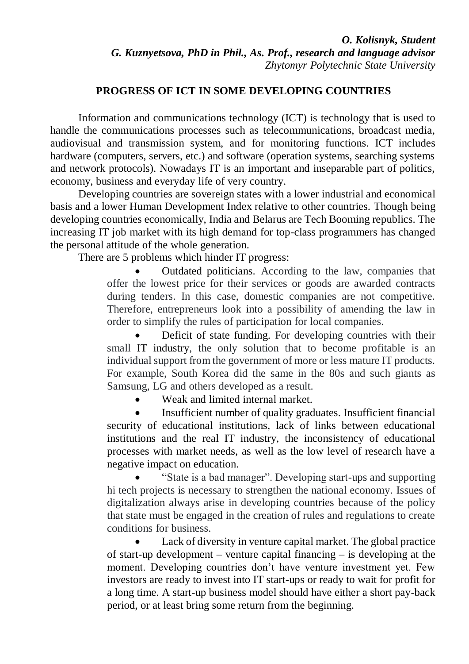## **PROGRESS OF ICT IN SOME DEVELOPING COUNTRIES**

Information and communications technology (ICT) is technology that is used to handle the communications processes such as telecommunications, broadcast media, audiovisual and transmission system, and for monitoring functions. ICT includes hardware (computers, servers, etc.) and software (operation systems, searching systems and network protocols). Nowadays IT is an important and inseparable part of politics, economy, business and everyday life of very country.

Developing countries are sovereign states with a lower industrial and economical basis and a lower Human Development Index relative to other countries. Though being developing countries economically, India and Belarus are Tech Booming republics. The increasing IT job market with its high demand for top-class programmers has changed the personal attitude of the whole generation.

There are 5 problems which hinder IT progress:

 Outdated politicians. According to the law, companies that offer the lowest price for their services or goods are awarded contracts during tenders. In this case, domestic companies are not competitive. Therefore, entrepreneurs look into a possibility of amending the law in order to simplify the rules of participation for local companies.

 Deficit of state funding. For developing countries with their small IT industry, the only solution that to become profitable is an individual support from the government of more or less mature IT products. For example, South Korea did the same in the 80s and such giants as Samsung, LG and others developed as a result.

Weak and limited internal market.

 Insufficient number of quality graduates. Insufficient financial security of educational institutions, lack of links between educational institutions and the real IT industry, the inconsistency of educational processes with market needs, as well as the low level of research have a negative impact on education.

 "State is a bad manager". Developing start-ups and supporting hi tech projects is necessary to strengthen the national economy. Issues of digitalization always arise in developing countries because of the policy that state must be engaged in the creation of rules and regulations to create conditions for business.

 Lack of diversity in venture capital market. The global practice of start-up development – venture capital financing – is developing at the moment. Developing countries don't have venture investment yet. Few investors are ready to invest into IT start-ups or ready to wait for profit for a long time. A start-up business model should have either a short pay-back period, or at least bring some return from the beginning.